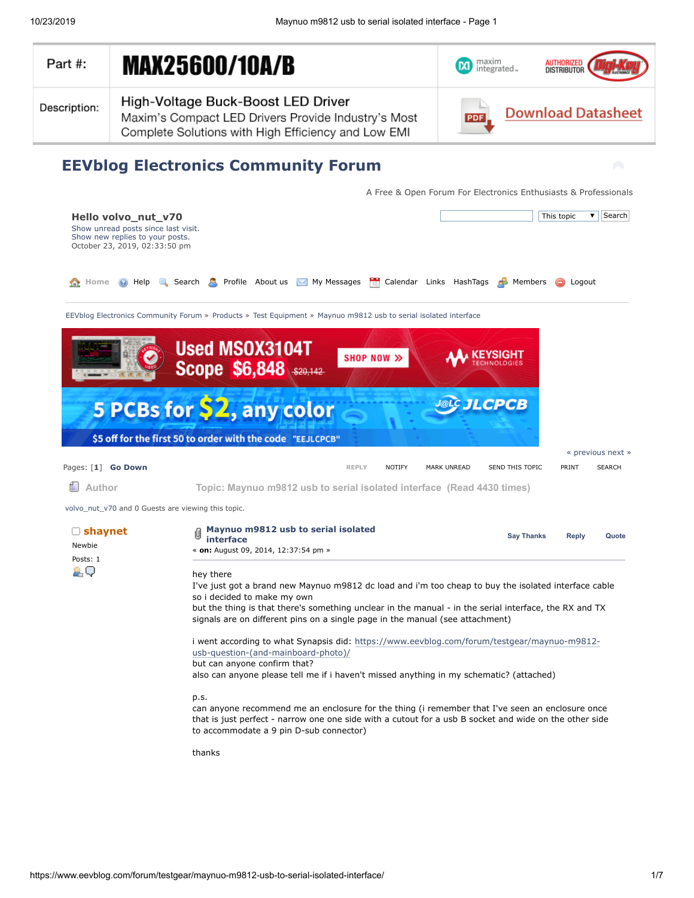<span id="page-0-0"></span>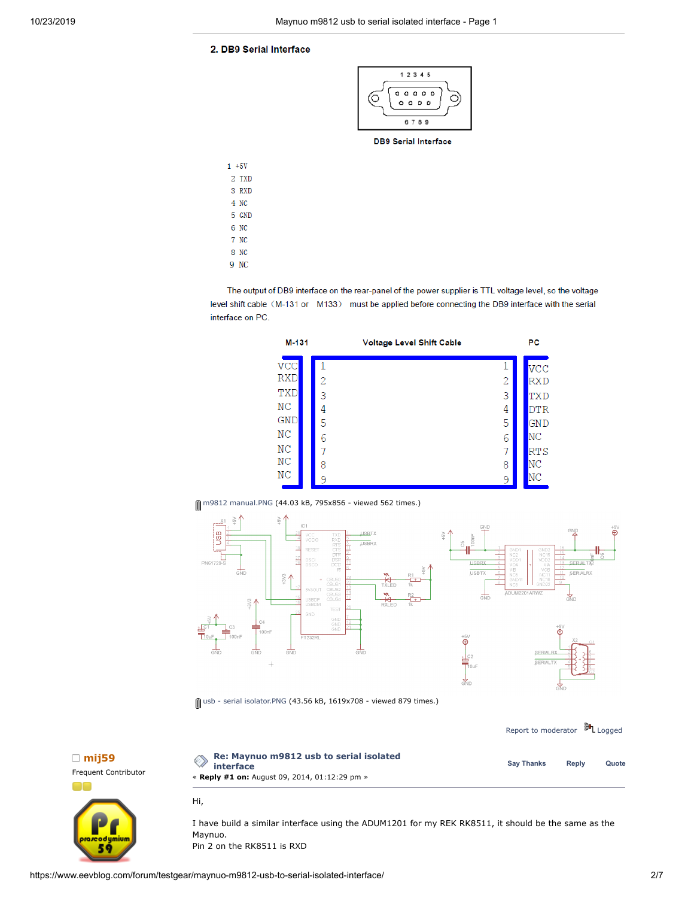## 2. DB9 Serial Interface



**DB9 Serial Interface** 

| $1 + 5V$ |
|----------|
| 2 TXD    |
| 3 RXD    |
| 4 NC     |
| 5 GND    |
| 6 NC     |
| 7 NC     |
| 8 NC     |
| 9 NC     |

The output of DB9 interface on the rear-panel of the power supplier is TTL voltage level, so the voltage level shift cable (M-131 or M133) must be applied before connecting the DB9 interface with the serial interface on PC.







 $\hat{\parallel}$  usb - serial [isolator.PNG](https://www.eevblog.com/forum/testgear/maynuo-m9812-usb-to-serial-isolated-interface/?action=dlattach;attach=104982) (43.56 kB, 1619x708 - viewed 879 times.)

|                            |                                                                                                       |                   | Report to moderator <sup>51</sup> L Logged |       |  |
|----------------------------|-------------------------------------------------------------------------------------------------------|-------------------|--------------------------------------------|-------|--|
| mij59<br>quent Contributor | Re: Maynuo m9812 usb to serial isolated<br>interface<br>« Reply #1 on: August 09, 2014, 01:12:29 pm » | <b>Sav Thanks</b> | Reply                                      | Quote |  |
|                            | Hi.                                                                                                   |                   |                                            |       |  |



□ m[ij59](https://www.eevblog.com/forum/profile/?u=96835)



I have build a similar interface using the ADUM1201 for my REK RK8511, it should be the same as the Maynuo.

Pin 2 on the RK8511 is RXD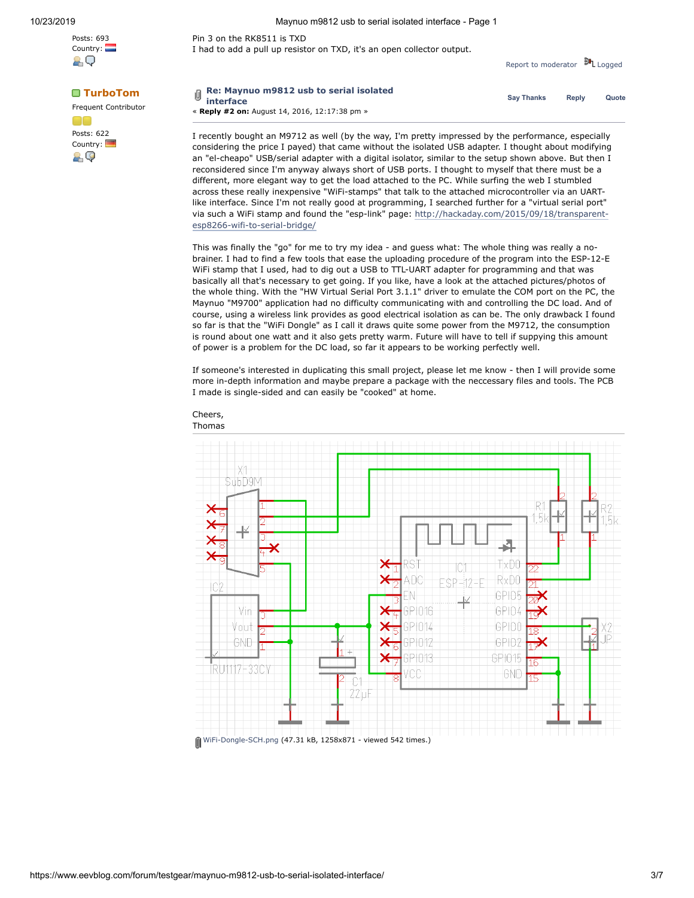Posts: 693 Country:

89

Posts: 622 Country:

29

Frequent Contributor



Pin 3 on the RK8511 is TXD I had to add a pull up resistor on TXD, it's an open collector output.

Report to [moderator](https://www.eevblog.com/forum/testgear/maynuo-m9812-usb-to-serial-isolated-interface/1/?action=reporttm;msg=493640) **訓** [Logged](https://www.eevblog.com/forum/helpadmin/?help=see_member_ip)

| TurboTom<br>auent Contributor | $\overline{\mathbb{q}}$ Re: Maynuo m9812 usb to serial isolated<br>$^{\heartsuit}$ interface | <b>Sav Thanks</b> | Reply | Quote |
|-------------------------------|----------------------------------------------------------------------------------------------|-------------------|-------|-------|
|                               | « Reply #2 on: August 14, 2016, 12:17:38 pm »                                                |                   |       |       |

I recently bought an M9712 as well (by the way, I'm pretty impressed by the performance, especially considering the price I payed) that came without the isolated USB adapter. I thought about modifying an "el-cheapo" USB/serial adapter with a digital isolator, similar to the setup shown above. But then I reconsidered since I'm anyway always short of USB ports. I thought to myself that there must be a different, more elegant way to get the load attached to the PC. While surfing the web I stumbled across these really inexpensive "WiFi-stamps" that talk to the attached microcontroller via an UARTlike interface. Since I'm not really good at programming, I searched further for a "virtual serial port" via such a WiFi stamp and found the "esp-link" page: [http://hackaday.com/2015/09/18/transparent](http://hackaday.com/2015/09/18/transparent-esp8266-wifi-to-serial-bridge/)esp8266-wifi-to-serial-bridge/

This was finally the "go" for me to try my idea - and guess what: The whole thing was really a nobrainer. I had to find a few tools that ease the uploading procedure of the program into the ESP-12-E WiFi stamp that I used, had to dig out a USB to TTL-UART adapter for programming and that was basically all that's necessary to get going. If you like, have a look at the attached pictures/photos of the whole thing. With the "HW Virtual Serial Port 3.1.1" driver to emulate the COM port on the PC, the Maynuo "M9700" application had no difficulty communicating with and controlling the DC load. And of course, using a wireless link provides as good electrical isolation as can be. The only drawback I found so far is that the "WiFi Dongle" as I call it draws quite some power from the M9712, the consumption is round about one watt and it also gets pretty warm. Future will have to tell if suppying this amount of power is a problem for the DC load, so far it appears to be working perfectly well.

If someone's interested in duplicating this small project, please let me know - then I will provide some more in-depth information and maybe prepare a package with the neccessary files and tools. The PCB I made is single-sided and can easily be "cooked" at home.



Cheers, Thomas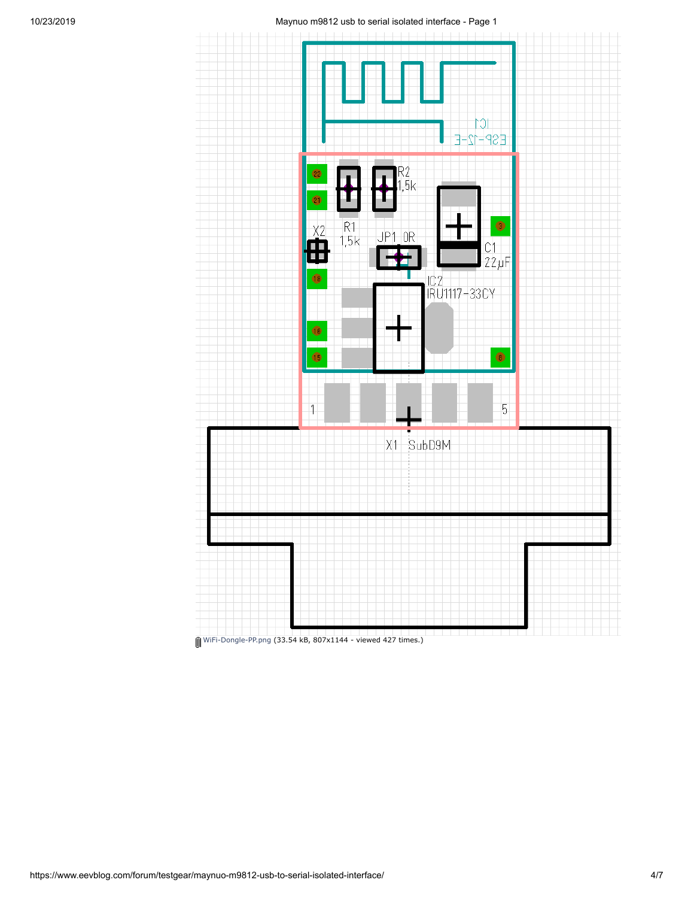

[WiFi-Dongle-PP.png](https://www.eevblog.com/forum/testgear/maynuo-m9812-usb-to-serial-isolated-interface/?action=dlattach;attach=247834) (33.54 kB, 807x1144 - viewed 427 times.)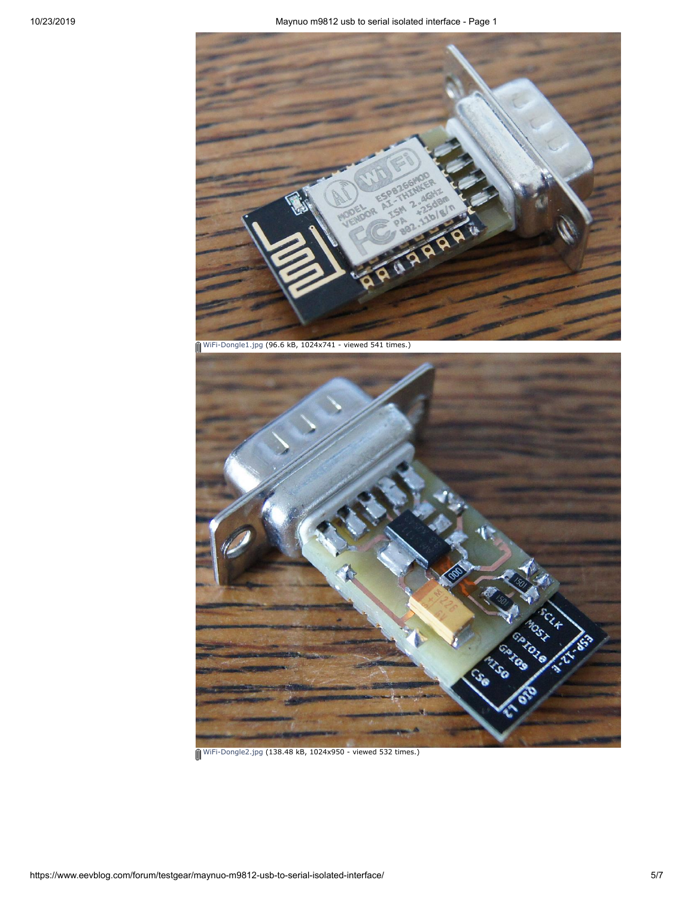

[WiFi-Dongle1.jpg](https://www.eevblog.com/forum/testgear/maynuo-m9812-usb-to-serial-isolated-interface/?action=dlattach;attach=247836) (96.6 kB, 1024x741 - viewed 541 times.)

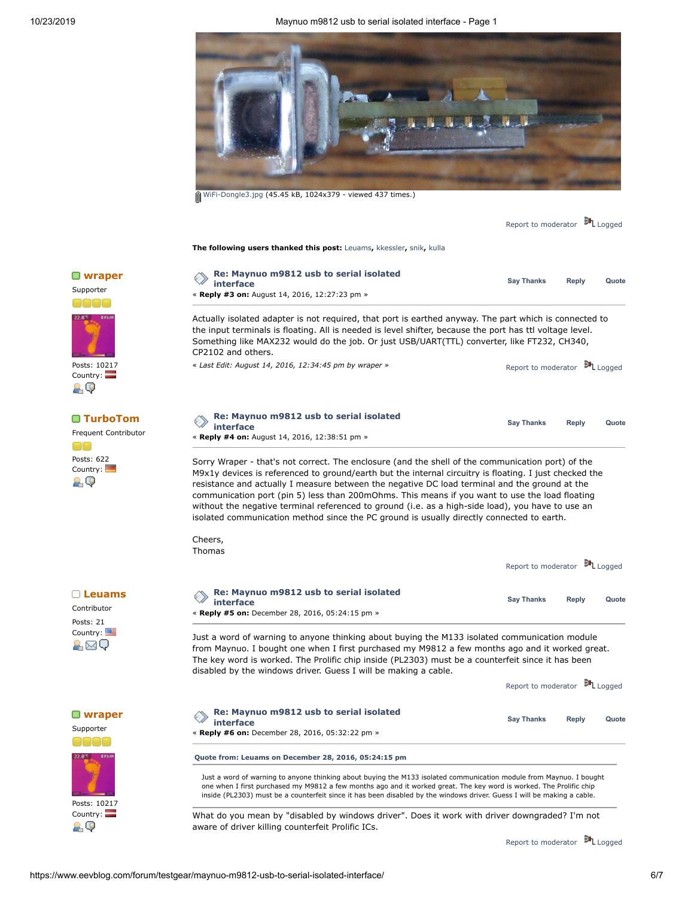

[WiFi-Dongle3.jpg](https://www.eevblog.com/forum/testgear/maynuo-m9812-usb-to-serial-isolated-interface/?action=dlattach;attach=247840) (45.45 kB, 1024x379 - viewed 437 times.)

|                                                              |                                                                                                                                                                                                                                                                                                                                                                                                                                                                                                                                                                                                                                       | Report to moderator                        |              | <sup>鼬</sup> L Logged |  |
|--------------------------------------------------------------|---------------------------------------------------------------------------------------------------------------------------------------------------------------------------------------------------------------------------------------------------------------------------------------------------------------------------------------------------------------------------------------------------------------------------------------------------------------------------------------------------------------------------------------------------------------------------------------------------------------------------------------|--------------------------------------------|--------------|-----------------------|--|
|                                                              | The following users thanked this post: Leuams, kkessler, snik, kulla                                                                                                                                                                                                                                                                                                                                                                                                                                                                                                                                                                  |                                            |              |                       |  |
| $\Box$ wraper<br>Supporter                                   | Re: Maynuo m9812 usb to serial isolated<br><b>interface</b><br>« Reply #3 on: August 14, 2016, 12:27:23 pm »                                                                                                                                                                                                                                                                                                                                                                                                                                                                                                                          | <b>Say Thanks</b>                          | <b>Reply</b> | Quote                 |  |
|                                                              | Actually isolated adapter is not required, that port is earthed anyway. The part which is connected to<br>the input terminals is floating. All is needed is level shifter, because the port has ttl voltage level.<br>Something like MAX232 would do the job. Or just USB/UART(TTL) converter, like FT232, CH340,<br>CP2102 and others.                                                                                                                                                                                                                                                                                               |                                            |              |                       |  |
| Posts: 10217<br>Country: <b>Part</b><br>29                   | « Last Edit: August 14, 2016, 12:34:45 pm by wraper »                                                                                                                                                                                                                                                                                                                                                                                                                                                                                                                                                                                 | Report to moderator                        |              | <sup>説</sup> L Logged |  |
| $\blacksquare$ TurboTom<br>Frequent Contributor              | Re: Maynuo m9812 usb to serial isolated<br><b>interface</b><br>« Reply #4 on: August 14, 2016, 12:38:51 pm »                                                                                                                                                                                                                                                                                                                                                                                                                                                                                                                          | <b>Say Thanks</b>                          | <b>Reply</b> | Quote                 |  |
| Posts: 622<br>Country:<br>29                                 | Sorry Wraper - that's not correct. The enclosure (and the shell of the communication port) of the<br>M9x1y devices is referenced to ground/earth but the internal circuitry is floating. I just checked the<br>resistance and actually I measure between the negative DC load terminal and the ground at the<br>communication port (pin 5) less than 200mOhms. This means if you want to use the load floating<br>without the negative terminal referenced to ground (i.e. as a high-side load), you have to use an<br>isolated communication method since the PC ground is usually directly connected to earth.<br>Cheers,<br>Thomas |                                            |              |                       |  |
|                                                              |                                                                                                                                                                                                                                                                                                                                                                                                                                                                                                                                                                                                                                       | Report to moderator <sup>54</sup> L Logged |              |                       |  |
| $\Box$ Leuams<br>Contributor<br>Posts: 21<br>Country:<br>a⊠Q | Re: Maynuo m9812 usb to serial isolated<br>interface<br>« Reply #5 on: December 28, 2016, 05:24:15 pm »                                                                                                                                                                                                                                                                                                                                                                                                                                                                                                                               | <b>Say Thanks</b>                          | <b>Reply</b> | Quote                 |  |
|                                                              | Just a word of warning to anyone thinking about buying the M133 isolated communication module<br>from Maynuo. I bought one when I first purchased my M9812 a few months ago and it worked great.<br>The key word is worked. The Prolific chip inside (PL2303) must be a counterfeit since it has been<br>disabled by the windows driver. Guess I will be making a cable.                                                                                                                                                                                                                                                              |                                            |              |                       |  |
|                                                              |                                                                                                                                                                                                                                                                                                                                                                                                                                                                                                                                                                                                                                       | Report to moderator                        |              | <sup>説</sup> L Logged |  |
| $\Box$ wraper<br>Supporter                                   | Re: Maynuo m9812 usb to serial isolated<br>interface<br>« Reply #6 on: December 28, 2016, 05:32:22 pm »                                                                                                                                                                                                                                                                                                                                                                                                                                                                                                                               | <b>Say Thanks</b>                          | <b>Reply</b> | Quote                 |  |
|                                                              | Quote from: Leuams on December 28, 2016, 05:24:15 pm                                                                                                                                                                                                                                                                                                                                                                                                                                                                                                                                                                                  |                                            |              |                       |  |
| Posts: 10217                                                 | Just a word of warning to anyone thinking about buying the M133 isolated communication module from Maynuo. I bought<br>one when I first purchased my M9812 a few months ago and it worked great. The key word is worked. The Prolific chip<br>inside (PL2303) must be a counterfeit since it has been disabled by the windows driver. Guess I will be making a cable.                                                                                                                                                                                                                                                                 |                                            |              |                       |  |
| Country: $\Box$<br>29                                        | What do you mean by "disabled by windows driver". Does it work with driver downgraded? I'm not<br>aware of driver killing counterfeit Prolific ICs.                                                                                                                                                                                                                                                                                                                                                                                                                                                                                   |                                            |              |                       |  |

Report to [moderator](https://www.eevblog.com/forum/testgear/maynuo-m9812-usb-to-serial-isolated-interface/6/?action=reporttm;msg=1100897) <sup>訓</sup>L [Logged](https://www.eevblog.com/forum/helpadmin/?help=see_member_ip)





Posts: 10217 Country:<br><del>A</del> Q